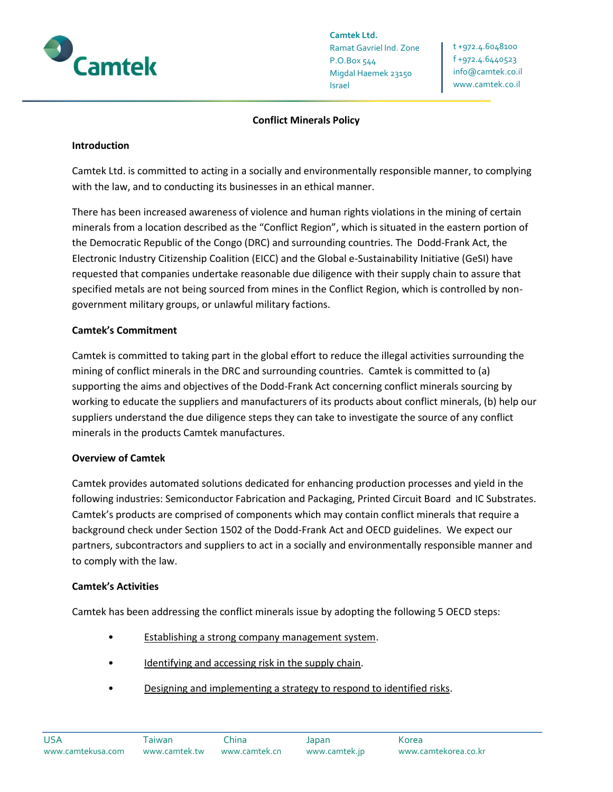

**Camtek Ltd.** Ramat Gavriel Ind. Zone P.O.Box 544 Migdal Haemek 23150 Israel

t +972.4.6048100 f +972.4.6440523 [info@camtek.co.il](mailto:info@camtek.co.il) www.camtek.co.il

### **Conflict Minerals Policy**

#### **Introduction**

Camtek Ltd. is committed to acting in a socially and environmentally responsible manner, to complying with the law, and to conducting its businesses in an ethical manner.

There has been increased awareness of violence and human rights violations in the mining of certain minerals from a location described as the "Conflict Region", which is situated in the eastern portion of the Democratic Republic of the Congo (DRC) and surrounding countries. The Dodd-Frank Act, the Electronic Industry Citizenship Coalition (EICC) and the Global e-Sustainability Initiative (GeSI) have requested that companies undertake reasonable due diligence with their supply chain to assure that specified metals are not being sourced from mines in the Conflict Region, which is controlled by nongovernment military groups, or unlawful military factions.

#### **Camtek's Commitment**

Camtek is committed to taking part in the global effort to reduce the illegal activities surrounding the mining of conflict minerals in the DRC and surrounding countries. Camtek is committed to (a) supporting the aims and objectives of the Dodd-Frank Act concerning conflict minerals sourcing by working to educate the suppliers and manufacturers of its products about conflict minerals, (b) help our suppliers understand the due diligence steps they can take to investigate the source of any conflict minerals in the products Camtek manufactures.

### **Overview of Camtek**

Camtek provides automated solutions dedicated for enhancing production processes and yield in the following industries: Semiconductor Fabrication and Packaging, Printed Circuit Board and IC Substrates. Camtek's products are comprised of components which may contain conflict minerals that require a background check under Section 1502 of the Dodd-Frank Act and OECD guidelines. We expect our partners, subcontractors and suppliers to act in a socially and environmentally responsible manner and to comply with the law.

#### **Camtek's Activities**

Camtek has been addressing the conflict minerals issue by adopting the following 5 OECD steps:

- Establishing a strong company management system.
- Identifying and accessing risk in the supply chain.
- Designing and implementing a strategy to respond to identified risks.